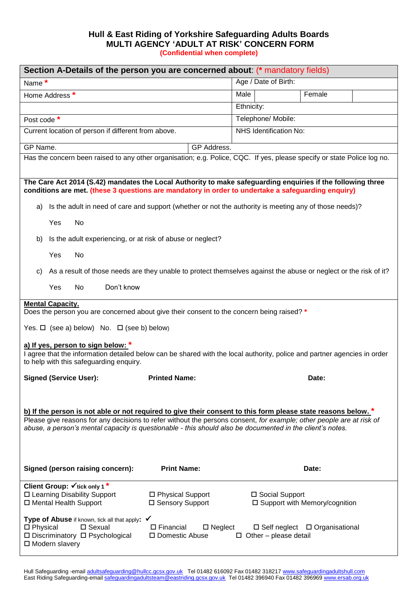## **Hull & East Riding of Yorkshire Safeguarding Adults Boards MULTI AGENCY 'ADULT AT RISK' CONCERN FORM (Confidential when complete)**

| Section A-Details of the person you are concerned about: (* mandatory fields)                                                                                                                                                                                                                                                                      |                                                              |                              |                                           |  |  |  |
|----------------------------------------------------------------------------------------------------------------------------------------------------------------------------------------------------------------------------------------------------------------------------------------------------------------------------------------------------|--------------------------------------------------------------|------------------------------|-------------------------------------------|--|--|--|
| Name*                                                                                                                                                                                                                                                                                                                                              |                                                              | Age / Date of Birth:         |                                           |  |  |  |
| Home Address *                                                                                                                                                                                                                                                                                                                                     |                                                              | Male                         | Female                                    |  |  |  |
|                                                                                                                                                                                                                                                                                                                                                    |                                                              | Ethnicity:                   |                                           |  |  |  |
| Post code *                                                                                                                                                                                                                                                                                                                                        |                                                              | Telephone/ Mobile:           |                                           |  |  |  |
| Current location of person if different from above.                                                                                                                                                                                                                                                                                                |                                                              | NHS Identification No:       |                                           |  |  |  |
| GP Name.<br>GP Address.                                                                                                                                                                                                                                                                                                                            |                                                              |                              |                                           |  |  |  |
| Has the concern been raised to any other organisation; e.g. Police, CQC. If yes, please specify or state Police log no.                                                                                                                                                                                                                            |                                                              |                              |                                           |  |  |  |
| The Care Act 2014 (S.42) mandates the Local Authority to make safeguarding enquiries if the following three<br>conditions are met. (these 3 questions are mandatory in order to undertake a safeguarding enquiry)                                                                                                                                  |                                                              |                              |                                           |  |  |  |
| Is the adult in need of care and support (whether or not the authority is meeting any of those needs)?<br>a)                                                                                                                                                                                                                                       |                                                              |                              |                                           |  |  |  |
| Yes<br>No                                                                                                                                                                                                                                                                                                                                          |                                                              |                              |                                           |  |  |  |
| Is the adult experiencing, or at risk of abuse or neglect?<br>b)                                                                                                                                                                                                                                                                                   |                                                              |                              |                                           |  |  |  |
| Yes<br>No                                                                                                                                                                                                                                                                                                                                          |                                                              |                              |                                           |  |  |  |
| As a result of those needs are they unable to protect themselves against the abuse or neglect or the risk of it?<br>C)                                                                                                                                                                                                                             |                                                              |                              |                                           |  |  |  |
| Don't know<br><b>No</b><br><b>Yes</b>                                                                                                                                                                                                                                                                                                              |                                                              |                              |                                           |  |  |  |
| <b>Mental Capacity.</b>                                                                                                                                                                                                                                                                                                                            |                                                              |                              |                                           |  |  |  |
| Does the person you are concerned about give their consent to the concern being raised? *                                                                                                                                                                                                                                                          |                                                              |                              |                                           |  |  |  |
| Yes. $\Box$ (see a) below) No. $\Box$ (see b) below)                                                                                                                                                                                                                                                                                               |                                                              |                              |                                           |  |  |  |
| a) If yes, person to sign below: *<br>I agree that the information detailed below can be shared with the local authority, police and partner agencies in order                                                                                                                                                                                     |                                                              |                              |                                           |  |  |  |
| to help with this safeguarding enquiry.                                                                                                                                                                                                                                                                                                            |                                                              |                              |                                           |  |  |  |
| <b>Signed (Service User):</b>                                                                                                                                                                                                                                                                                                                      | <b>Printed Name:</b>                                         |                              | Date:                                     |  |  |  |
|                                                                                                                                                                                                                                                                                                                                                    |                                                              |                              |                                           |  |  |  |
| b) If the person is not able or not required to give their consent to this form please state reasons below. *<br>Please give reasons for any decisions to refer without the persons consent, for example; other people are at risk of<br>abuse, a person's mental capacity is questionable - this should also be documented in the client's notes. |                                                              |                              |                                           |  |  |  |
| Signed (person raising concern):                                                                                                                                                                                                                                                                                                                   | <b>Print Name:</b>                                           |                              | Date:                                     |  |  |  |
| Client Group: $\checkmark$ tick only 1*<br>□ Learning Disability Support<br>□ Mental Health Support                                                                                                                                                                                                                                                | □ Physical Support<br>□ Sensory Support                      | □ Social Support             | □ Support with Memory/cognition           |  |  |  |
| Type of Abuse if known, tick all that apply: √<br>$\square$ Sexual<br>$\square$ Physical<br>□ Discriminatory □ Psychological<br>□ Modern slavery                                                                                                                                                                                                   | $\square$ Financial<br>$\square$ Neglect<br>□ Domestic Abuse | $\Box$ Other – please detail | $\Box$ Self neglect $\Box$ Organisational |  |  |  |